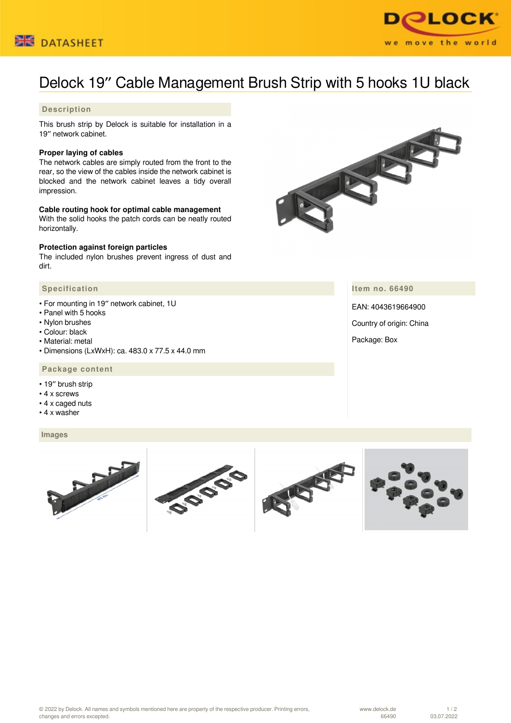



# Delock 19″ Cable Management Brush Strip with 5 hooks 1U black

# **Description**

This brush strip by Delock is suitable for installation in a 19″ network cabinet.

#### **Proper laying of cables**

The network cables are simply routed from the front to the rear, so the view of the cables inside the network cabinet is blocked and the network cabinet leaves a tidy overall impression.

## **Cable routing hook for optimal cable management**

With the solid hooks the patch cords can be neatly routed horizontally.

#### **Protection against foreign particles**

The included nylon brushes prevent ingress of dust and dirt.

### **Specification**

- For mounting in 19″ network cabinet, 1U
- Panel with 5 hooks
- Nylon brushes
- Colour: black
- Material: metal
- Dimensions (LxWxH): ca. 483.0 x 77.5 x 44.0 mm

# **Package content**

- 19″ brush strip
- 4 x screws
- 4 x caged nuts
- 4 x washer

#### **Images**



**Item no. 66490**

Package: Box

EAN: 4043619664900 Country of origin: China